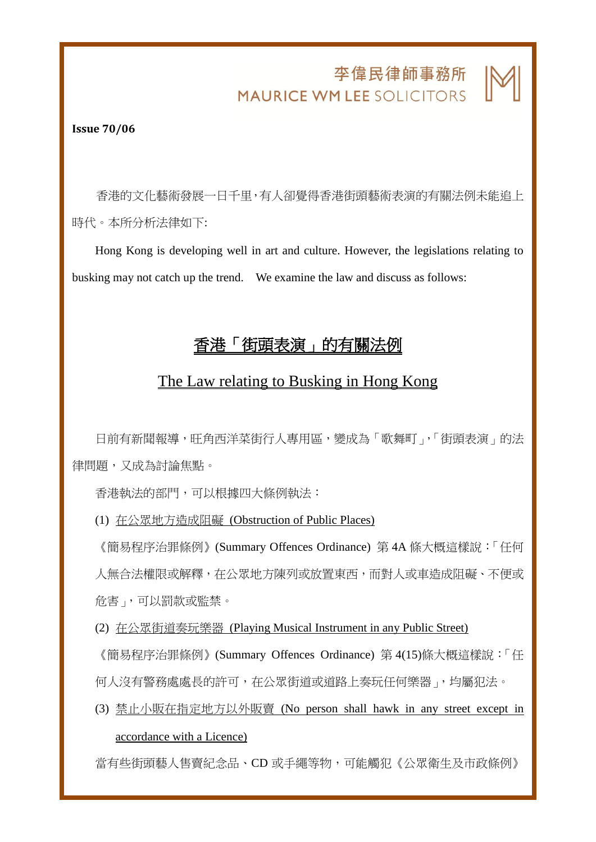## 李偉民律師事務所 **MAURICE WM LEE SOLICITORS**

j

**Issue 70/06**

香港的文化藝術發展一日千里,有人卻覺得香港街頭藝術表演的有關法例未能追上 時代。本所分析法律如下:

Hong Kong is developing well in art and culture. However, the legislations relating to busking may not catch up the trend. We examine the law and discuss as follows:

## 香港「街頭表演」的有關法例

## The Law relating to Busking in Hong Kong

日前有新聞報導,旺角西洋菜街行人專用區,變成為「歌舞町」,「街頭表演」的法 律問題,又成為討論焦點。

香港執法的部門,可以根據四大條例執法:

(1) 在公眾地方造成阻礙 (Obstruction of Public Places)

《簡易程序治罪條例》(Summary Offences Ordinance) 第 4A 條大概這樣說:「任何 人無合法權限或解釋,在公眾地方陳列或放置東西,而對人或車造成阻礙、不便或 危害」,可以罰款或監禁。

(2) 在公眾街道奏玩樂器 (Playing Musical Instrument in any Public Street)

《簡易程序治罪條例》(Summary Offences Ordinance) 第 4(15)條大概這樣說:「任

何人沒有警務處處長的許可,在公眾街道或道路上奏玩任何樂器」,均屬犯法。

(3) 禁止小販在指定地方以外販賣 (No person shall hawk in any street except in accordance with a Licence)

當有些街頭藝人售賣紀念品、CD 或手繩等物,可能觸犯《公眾衛生及市政條例》